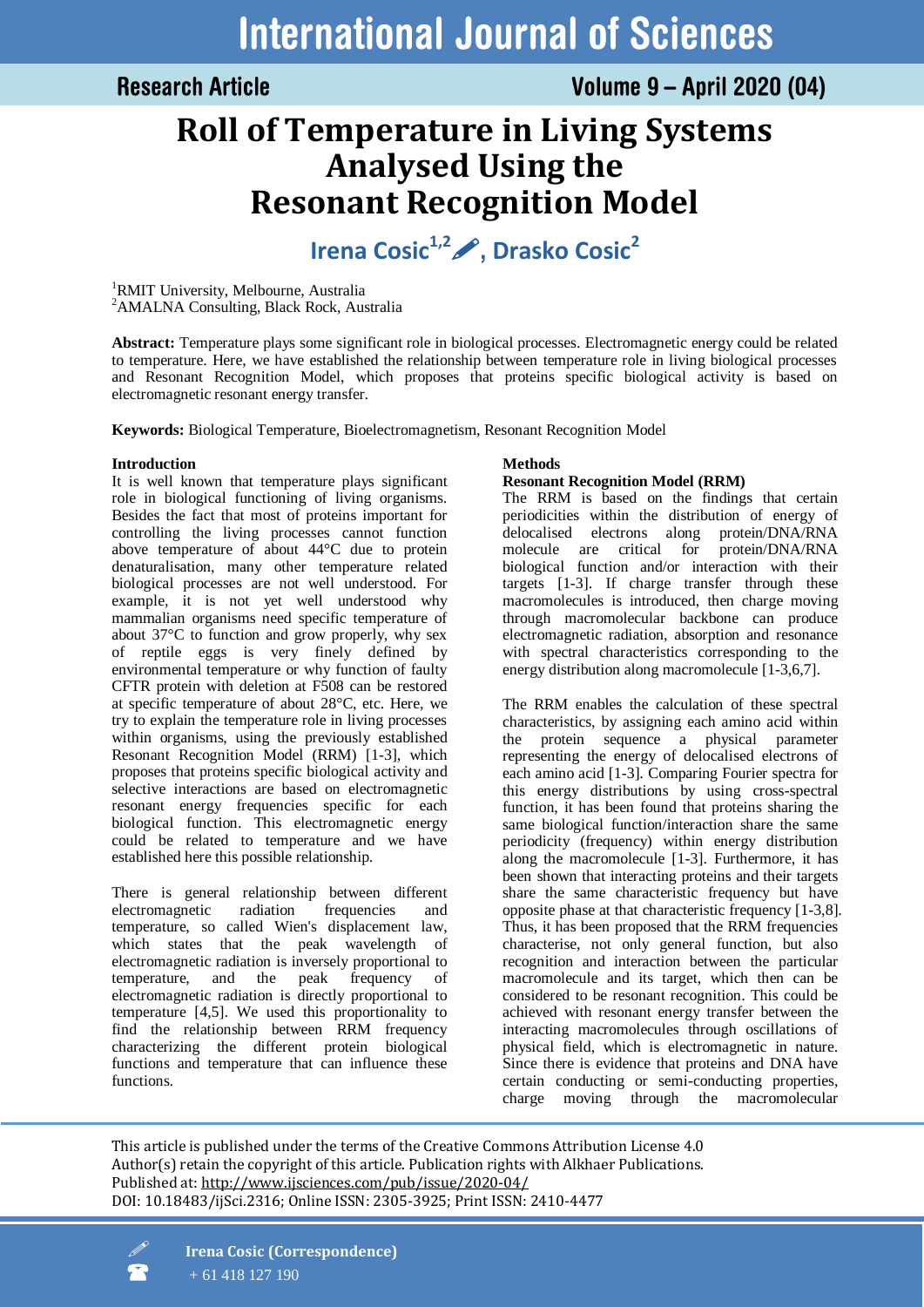# **International Journal of Sciences**

### **Research Article**

## **Roll of Temperature in Living Systems Analysed Using the Resonant Recognition Model**

**Irena Cosic1,2, Drasko Cosic<sup>2</sup>**

<sup>1</sup>RMIT University, Melbourne, Australia <sup>2</sup>AMALNA Consulting, Black Rock, Australia

**Abstract:** Temperature plays some significant role in biological processes. Electromagnetic energy could be related to temperature. Here, we have established the relationship between temperature role in living biological processes and Resonant Recognition Model, which proposes that proteins specific biological activity is based on electromagnetic resonant energy transfer.

**Keywords:** Biological Temperature, Bioelectromagnetism, Resonant Recognition Model

#### **Introduction**

It is well known that temperature plays significant role in biological functioning of living organisms. Besides the fact that most of proteins important for controlling the living processes cannot function above temperature of about 44°C due to protein denaturalisation, many other temperature related biological processes are not well understood. For example, it is not yet well understood why mammalian organisms need specific temperature of about 37°C to function and grow properly, why sex of reptile eggs is very finely defined by environmental temperature or why function of faulty CFTR protein with deletion at F508 can be restored at specific temperature of about 28°C, etc. Here, we try to explain the temperature role in living processes within organisms, using the previously established Resonant Recognition Model (RRM) [1-3], which proposes that proteins specific biological activity and selective interactions are based on electromagnetic resonant energy frequencies specific for each biological function. This electromagnetic energy could be related to temperature and we have established here this possible relationship.

There is general relationship between different electromagnetic radiation frequencies and temperature, so called Wien's displacement law, which states that the peak wavelength of electromagnetic radiation is inversely proportional to temperature, and the peak frequency of electromagnetic radiation is directly proportional to temperature [4,5]. We used this proportionality to find the relationship between RRM frequency characterizing the different protein biological functions and temperature that can influence these functions.

#### **Methods**

#### **Resonant Recognition Model (RRM)**

The RRM is based on the findings that certain periodicities within the distribution of energy of delocalised electrons along protein/DNA/RNA molecule are critical for protein/DNA/RNA biological function and/or interaction with their targets [1-3]. If charge transfer through these macromolecules is introduced, then charge moving through macromolecular backbone can produce electromagnetic radiation, absorption and resonance with spectral characteristics corresponding to the energy distribution along macromolecule [1-3,6,7].

The RRM enables the calculation of these spectral characteristics, by assigning each amino acid within the protein sequence a physical parameter representing the energy of delocalised electrons of each amino acid [1-3]. Comparing Fourier spectra for this energy distributions by using cross-spectral function, it has been found that proteins sharing the same biological function/interaction share the same periodicity (frequency) within energy distribution along the macromolecule [1-3]. Furthermore, it has been shown that interacting proteins and their targets share the same characteristic frequency but have opposite phase at that characteristic frequency [1-3,8]. Thus, it has been proposed that the RRM frequencies characterise, not only general function, but also recognition and interaction between the particular macromolecule and its target, which then can be considered to be resonant recognition. This could be achieved with resonant energy transfer between the interacting macromolecules through oscillations of physical field, which is electromagnetic in nature. Since there is evidence that proteins and DNA have certain conducting or semi-conducting properties, charge moving through the macromolecular

This article is published under the terms of the Creative Commons Attribution License 4.0 Author(s) retain the copyright of this article. Publication rights with Alkhaer Publications. Published at[: http://www.ijsciences.com/pub/issue/2020-04/](http://www.ijsciences.com/pub/issue/2020-04/) DOI: 10.18483/ijSci.2316; Online ISSN: 2305-3925; Print ISSN: 2410-4477



 **Irena Cosic (Correspondence)**  + 61 418 127 190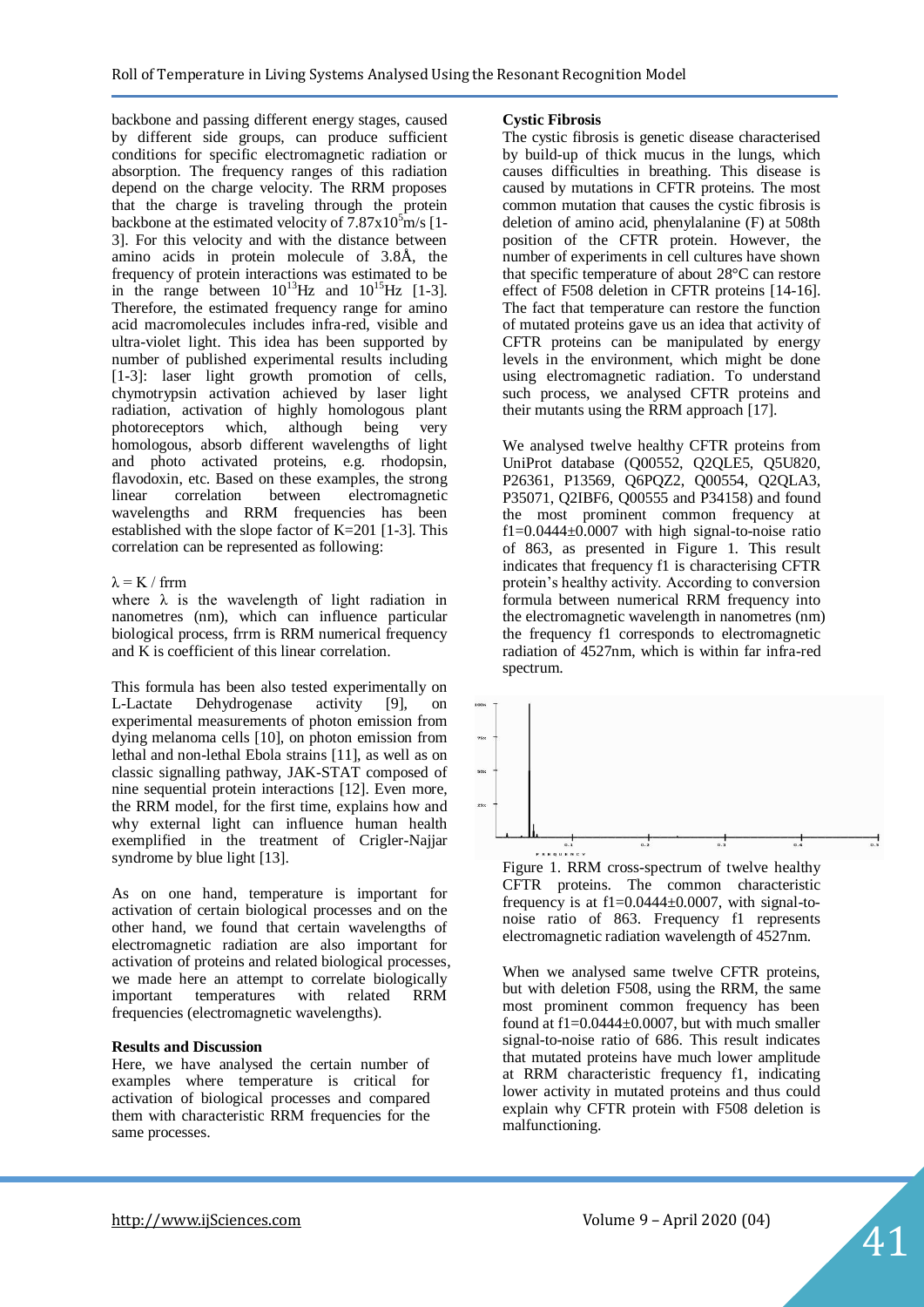backbone and passing different energy stages, caused by different side groups, can produce sufficient conditions for specific electromagnetic radiation or absorption. The frequency ranges of this radiation depend on the charge velocity. The RRM proposes that the charge is traveling through the protein backbone at the estimated velocity of  $7.87 \times 10^5$  m/s [1-3]. For this velocity and with the distance between amino acids in protein molecule of 3.8Å, the frequency of protein interactions was estimated to be in the range between  $10^{13}$ Hz and  $10^{15}$ Hz [1-3]. Therefore, the estimated frequency range for amino acid macromolecules includes infra-red, visible and ultra-violet light. This idea has been supported by number of published experimental results including [1-3]: laser light growth promotion of cells, chymotrypsin activation achieved by laser light radiation, activation of highly homologous plant photoreceptors which, although being very homologous, absorb different wavelengths of light and photo activated proteins, e.g. rhodopsin, flavodoxin, etc. Based on these examples, the strong linear correlation between electromagnetic wavelengths and RRM frequencies has been established with the slope factor of K=201 [1-3]. This correlation can be represented as following:

#### $\lambda = K / f$ rrm

where  $\lambda$  is the wavelength of light radiation in nanometres (nm), which can influence particular biological process, frrm is RRM numerical frequency and K is coefficient of this linear correlation.

This formula has been also tested experimentally on L-Lactate Dehydrogenase activity [9], on experimental measurements of photon emission from dying melanoma cells [10], on photon emission from lethal and non-lethal Ebola strains [11], as well as on classic signalling pathway, JAK-STAT composed of nine sequential protein interactions [12]. Even more, the RRM model, for the first time, explains how and why external light can influence human health exemplified in the treatment of Crigler-Najjar syndrome by blue light [13].

As on one hand, temperature is important for activation of certain biological processes and on the other hand, we found that certain wavelengths of electromagnetic radiation are also important for activation of proteins and related biological processes, we made here an attempt to correlate biologically important temperatures with related RRM frequencies (electromagnetic wavelengths).

#### **Results and Discussion**

Here, we have analysed the certain number of examples where temperature is critical for activation of biological processes and compared them with characteristic RRM frequencies for the same processes.

#### **Cystic Fibrosis**

The cystic fibrosis is genetic disease characterised by build-up of thick mucus in the lungs, which causes difficulties in breathing. This disease is caused by mutations in CFTR proteins. The most common mutation that causes the cystic fibrosis is deletion of amino acid, phenylalanine (F) at 508th position of the CFTR protein. However, the number of experiments in cell cultures have shown that specific temperature of about 28°C can restore effect of F508 deletion in CFTR proteins [14-16]. The fact that temperature can restore the function of mutated proteins gave us an idea that activity of CFTR proteins can be manipulated by energy levels in the environment, which might be done using electromagnetic radiation. To understand such process, we analysed CFTR proteins and their mutants using the RRM approach [17].

We analysed twelve healthy CFTR proteins from UniProt database (Q00552, Q2QLE5, Q5U820, P26361, P13569, Q6PQZ2, Q00554, Q2QLA3, P35071, Q2IBF6, Q00555 and P34158) and found the most prominent common frequency at f1= $0.0444\pm0.0007$  with high signal-to-noise ratio of 863, as presented in Figure 1. This result indicates that frequency f1 is characterising CFTR protein's healthy activity. According to conversion formula between numerical RRM frequency into the electromagnetic wavelength in nanometres (nm) the frequency f1 corresponds to electromagnetic radiation of 4527nm, which is within far infra-red spectrum.



Figure 1. RRM cross-spectrum of twelve healthy CFTR proteins. The common characteristic frequency is at  $f1=0.0444\pm0.0007$ , with signal-tonoise ratio of 863. Frequency f1 represents electromagnetic radiation wavelength of 4527nm.

When we analysed same twelve CFTR proteins, but with deletion F508, using the RRM, the same most prominent common frequency has been found at  $f1=0.0444\pm0.0007$ , but with much smaller signal-to-noise ratio of 686. This result indicates that mutated proteins have much lower amplitude at RRM characteristic frequency f1, indicating lower activity in mutated proteins and thus could explain why CFTR protein with F508 deletion is malfunctioning.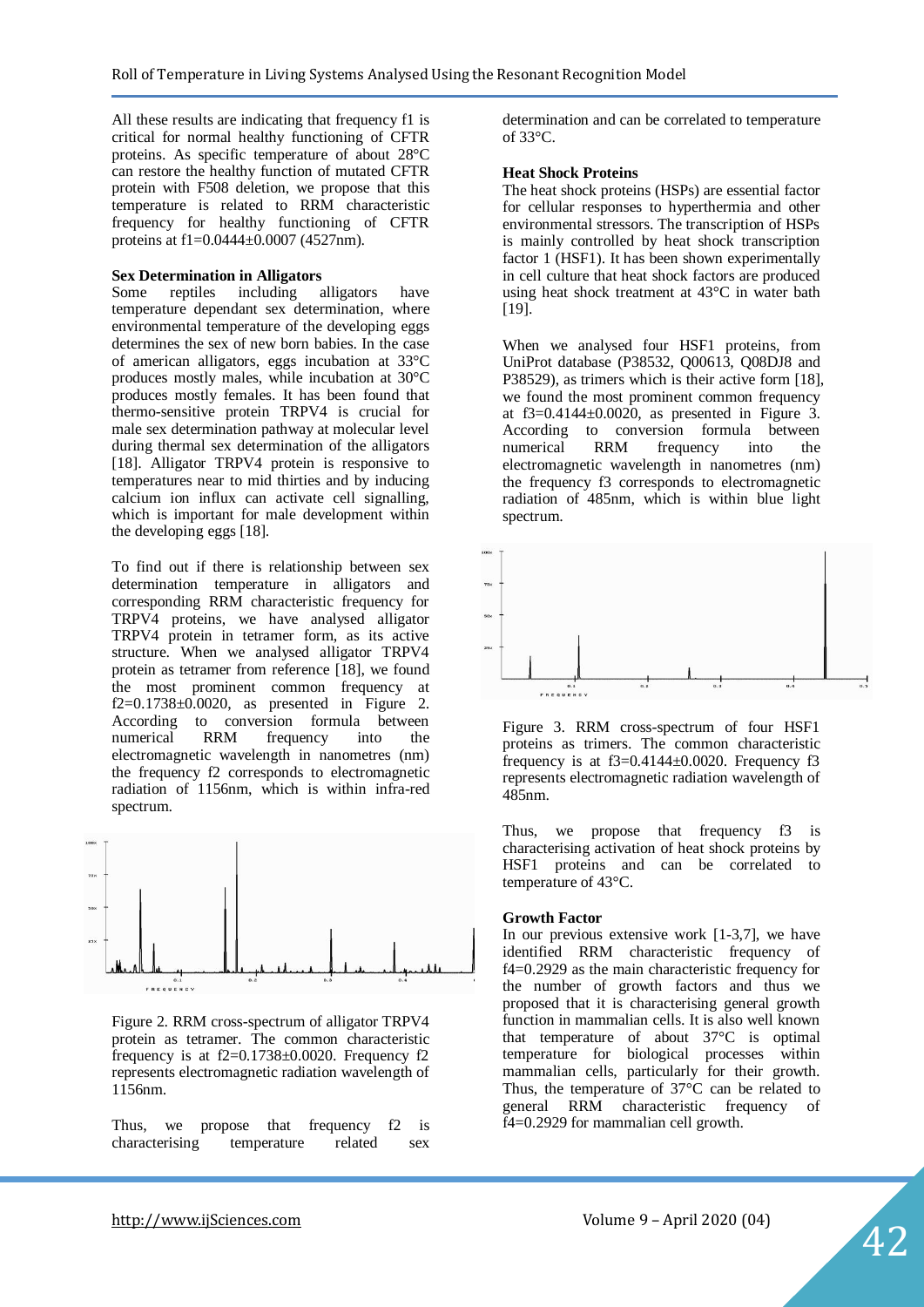All these results are indicating that frequency f1 is critical for normal healthy functioning of CFTR proteins. As specific temperature of about 28°C can restore the healthy function of mutated CFTR protein with F508 deletion, we propose that this temperature is related to RRM characteristic frequency for healthy functioning of CFTR proteins at f1=0.0444±0.0007 (4527nm).

#### **Sex Determination in Alligators**

Some reptiles including alligators have temperature dependant sex determination, where environmental temperature of the developing eggs determines the sex of new born babies. In the case of american alligators, eggs incubation at 33°C produces mostly males, while incubation at 30°C produces mostly females. It has been found that thermo-sensitive protein TRPV4 is crucial for male sex determination pathway at molecular level during thermal sex determination of the alligators [18]. Alligator TRPV4 protein is responsive to temperatures near to mid thirties and by inducing calcium ion influx can activate cell signalling, which is important for male development within the developing eggs [18].

To find out if there is relationship between sex determination temperature in alligators and corresponding RRM characteristic frequency for TRPV4 proteins, we have analysed alligator TRPV4 protein in tetramer form, as its active structure. When we analysed alligator TRPV4 protein as tetramer from reference [18], we found the most prominent common frequency at  $f2=0.1738\pm0.0020$ , as presented in Figure 2. According to conversion formula between numerical RRM frequency into the electromagnetic wavelength in nanometres (nm) the frequency f2 corresponds to electromagnetic radiation of 1156nm, which is within infra-red spectrum.



Figure 2. RRM cross-spectrum of alligator TRPV4 protein as tetramer. The common characteristic frequency is at  $f2=0.1738\pm0.0020$ . Frequency f2 represents electromagnetic radiation wavelength of 1156nm.

Thus, we propose that frequency f2 is characterising temperature related sex

determination and can be correlated to temperature of 33 $^{\circ}C$ .

#### **Heat Shock Proteins**

The heat shock proteins (HSPs) are essential factor for cellular responses to hyperthermia and other environmental stressors. The transcription of HSPs is mainly controlled by heat shock transcription factor 1 (HSF1). It has been shown experimentally in cell culture that heat shock factors are produced using heat shock treatment at 43°C in water bath [19].

When we analysed four HSF1 proteins, from UniProt database (P38532, Q00613, Q08DJ8 and P38529), as trimers which is their active form [18], we found the most prominent common frequency at  $f3=0.4144\pm0.0020$ , as presented in Figure 3. According to conversion formula between numerical RRM frequency into the electromagnetic wavelength in nanometres (nm) the frequency f3 corresponds to electromagnetic radiation of 485nm, which is within blue light spectrum.



Figure 3. RRM cross-spectrum of four HSF1 proteins as trimers. The common characteristic frequency is at  $f3=0.4144\pm0.0020$ . Frequency f3 represents electromagnetic radiation wavelength of  $485nm$ 

Thus, we propose that frequency f3 is characterising activation of heat shock proteins by HSF1 proteins and can be correlated to temperature of 43°C.

#### **Growth Factor**

In our previous extensive work [1-3,7], we have identified RRM characteristic frequency of f4=0.2929 as the main characteristic frequency for the number of growth factors and thus we proposed that it is characterising general growth function in mammalian cells. It is also well known that temperature of about 37°C is optimal temperature for biological processes within mammalian cells, particularly for their growth. Thus, the temperature of 37°C can be related to general RRM characteristic frequency of f4=0.2929 for mammalian cell growth.

42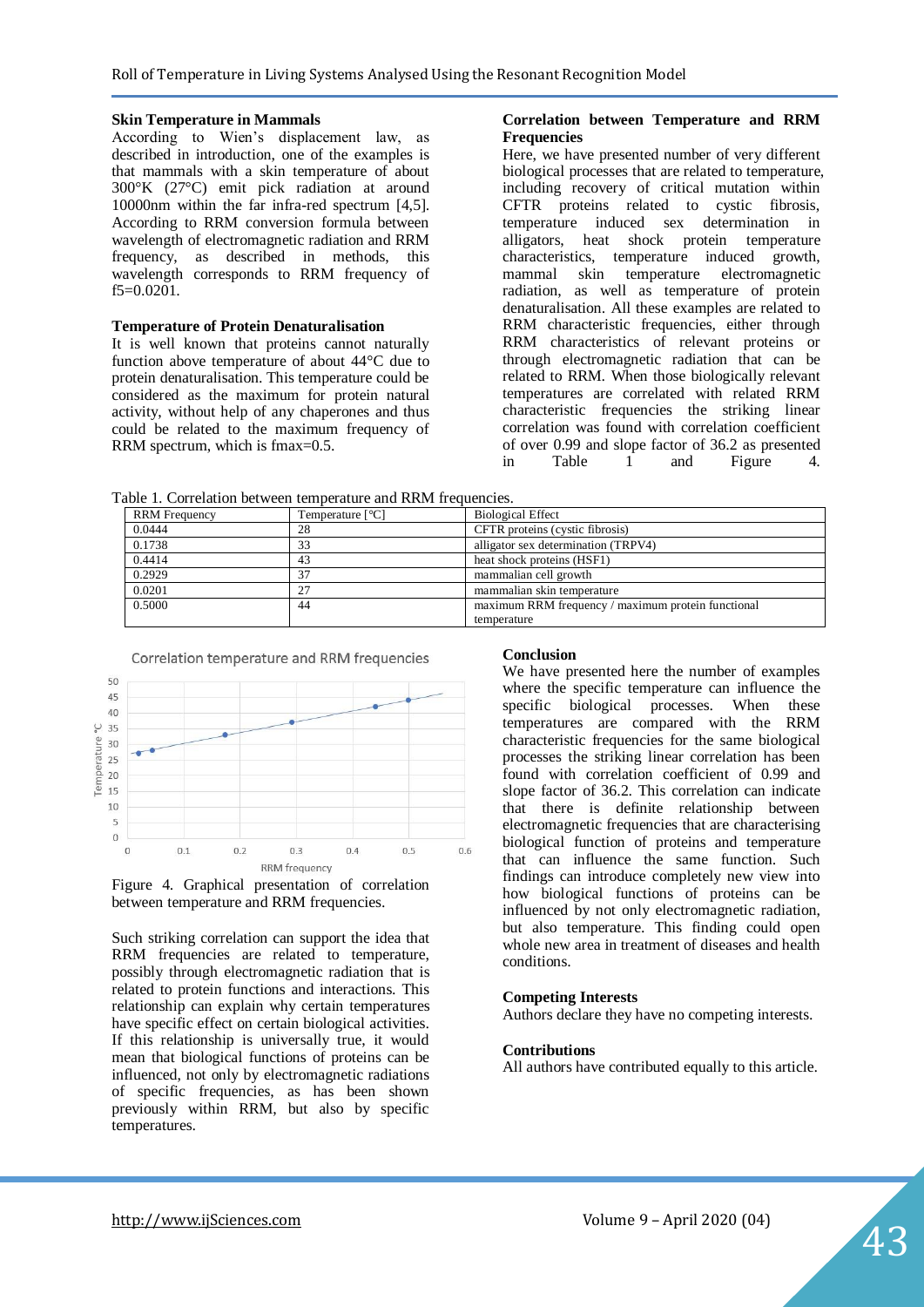#### **Skin Temperature in Mammals**

According to Wien's displacement law, as described in introduction, one of the examples is that mammals with a skin temperature of about 300°K (27°C) emit pick radiation at around 10000nm within the far infra-red spectrum [4,5]. According to RRM conversion formula between wavelength of electromagnetic radiation and RRM frequency, as described in methods, this wavelength corresponds to RRM frequency of f5=0.0201.

#### **Temperature of Protein Denaturalisation**

It is well known that proteins cannot naturally function above temperature of about 44°C due to protein denaturalisation. This temperature could be considered as the maximum for protein natural activity, without help of any chaperones and thus could be related to the maximum frequency of RRM spectrum, which is fmax=0.5.

#### **Correlation between Temperature and RRM Frequencies**

Here, we have presented number of very different biological processes that are related to temperature, including recovery of critical mutation within CFTR proteins related to cystic fibrosis, temperature induced sex determination in alligators, heat shock protein temperature characteristics, temperature induced growth, mammal skin temperature electromagnetic radiation, as well as temperature of protein denaturalisation. All these examples are related to RRM characteristic frequencies, either through RRM characteristics of relevant proteins or through electromagnetic radiation that can be related to RRM. When those biologically relevant temperatures are correlated with related RRM characteristic frequencies the striking linear correlation was found with correlation coefficient of over 0.99 and slope factor of 36.2 as presented in Table 1 and Figure 4.

Table 1. Correlation between temperature and RRM frequencies.

| <b>RRM</b> Frequency | Temperature $[^{\circ}C]$ | <b>Biological Effect</b>                           |
|----------------------|---------------------------|----------------------------------------------------|
| 0.0444               | 28                        | CFTR proteins (cystic fibrosis)                    |
| 0.1738               | 33                        | alligator sex determination (TRPV4)                |
| 0.4414               | 43                        | heat shock proteins (HSF1)                         |
| 0.2929               |                           | mammalian cell growth                              |
| 0.0201               |                           | mammalian skin temperature                         |
| 0.5000               | 44                        | maximum RRM frequency / maximum protein functional |
|                      |                           | temperature                                        |





Such striking correlation can support the idea that RRM frequencies are related to temperature, possibly through electromagnetic radiation that is related to protein functions and interactions. This relationship can explain why certain temperatures have specific effect on certain biological activities. If this relationship is universally true, it would mean that biological functions of proteins can be influenced, not only by electromagnetic radiations of specific frequencies, as has been shown previously within RRM, but also by specific temperatures.

#### **Conclusion**

We have presented here the number of examples where the specific temperature can influence the specific biological processes. When these temperatures are compared with the RRM characteristic frequencies for the same biological processes the striking linear correlation has been found with correlation coefficient of 0.99 and slope factor of 36.2. This correlation can indicate that there is definite relationship between electromagnetic frequencies that are characterising biological function of proteins and temperature that can influence the same function. Such findings can introduce completely new view into how biological functions of proteins can be influenced by not only electromagnetic radiation, but also temperature. This finding could open whole new area in treatment of diseases and health conditions.

#### **Competing Interests**

Authors declare they have no competing interests.

#### **Contributions**

All authors have contributed equally to this article.